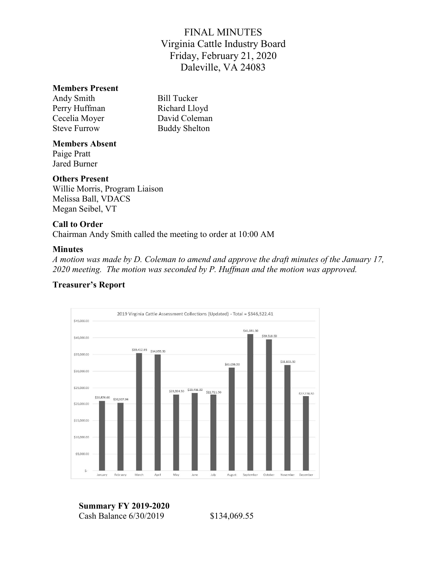#### Members Present

Andy Smith Bill Tucker Perry Huffman Richard Lloyd Cecelia Moyer David Coleman Steve Furrow Buddy Shelton

#### Members Absent

Paige Pratt Jared Burner

#### Others Present

Willie Morris, Program Liaison Melissa Ball, VDACS Megan Seibel, VT

#### Call to Order

Chairman Andy Smith called the meeting to order at 10:00 AM

#### Minutes

A motion was made by D. Coleman to amend and approve the draft minutes of the January 17, 2020 meeting. The motion was seconded by P. Huffman and the motion was approved.

#### 2019 Virginia Cattle Assessment Collections (Updated) - Total = \$346,522.41 \$45,000.00 \$41,081.00 \$39,518.50 \$40,000.00  $535,412.95$   $$34,955.50$ \$35,000.00 \$31,833.50 \$31,056.50 \$30,000.00 \$25,000.00 \$23,024.50 \$23,456.00 \$22,721.50 \$22,278.50  $$20,876.00$   $$20,307.96$ \$20,000.00 \$15,000.00 \$10,000.00 \$5,000.00 S. January February March April May June July August September October December November

#### Treasurer's Report

Summary FY 2019-2020 Cash Balance 6/30/2019 \$134,069.55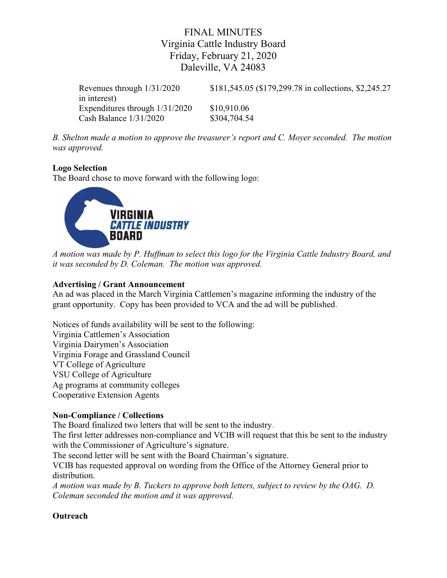Revenues through 1/31/2020 \$181,545.05 (\$179,299.78 in collections, \$2,245.27 in interest) Expenditures through 1/31/2020 \$10,910.06 Cash Balance 1/31/2020 \$304,704.54

B. Shelton made a motion to approve the treasurer's report and C. Moyer seconded. The motion was approved.

## Logo Selection

The Board chose to move forward with the following logo:



A motion was made by P. Huffman to select this logo for the Virginia Cattle Industry Board, and it was seconded by D. Coleman. The motion was approved.

#### Advertising / Grant Announcement

An ad was placed in the March Virginia Cattlemen's magazine informing the industry of the grant opportunity. Copy has been provided to VCA and the ad will be published.

Notices of funds availability will be sent to the following: Virginia Cattlemen's Association Virginia Dairymen's Association Virginia Forage and Grassland Council VT College of Agriculture VSU College of Agriculture Ag programs at community colleges Cooperative Extension Agents

### Non-Compliance / Collections

The Board finalized two letters that will be sent to the industry.

The first letter addresses non-compliance and VCIB will request that this be sent to the industry with the Commissioner of Agriculture's signature.

The second letter will be sent with the Board Chairman's signature.

VCIB has requested approval on wording from the Office of the Attorney General prior to distribution.

A motion was made by B. Tuckers to approve both letters, subject to review by the OAG. D. Coleman seconded the motion and it was approved.

## **Outreach**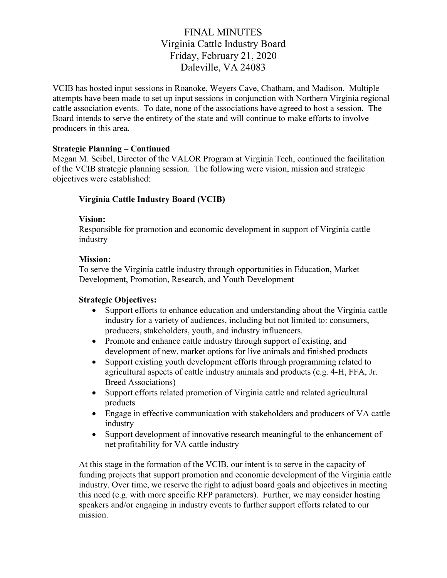VCIB has hosted input sessions in Roanoke, Weyers Cave, Chatham, and Madison. Multiple attempts have been made to set up input sessions in conjunction with Northern Virginia regional cattle association events. To date, none of the associations have agreed to host a session. The Board intends to serve the entirety of the state and will continue to make efforts to involve producers in this area.

#### Strategic Planning – Continued

Megan M. Seibel, Director of the VALOR Program at Virginia Tech, continued the facilitation of the VCIB strategic planning session. The following were vision, mission and strategic objectives were established:

### Virginia Cattle Industry Board (VCIB)

#### Vision:

Responsible for promotion and economic development in support of Virginia cattle industry

#### Mission:

To serve the Virginia cattle industry through opportunities in Education, Market Development, Promotion, Research, and Youth Development

### Strategic Objectives:

- Support efforts to enhance education and understanding about the Virginia cattle industry for a variety of audiences, including but not limited to: consumers, producers, stakeholders, youth, and industry influencers.
- Promote and enhance cattle industry through support of existing, and development of new, market options for live animals and finished products
- Support existing youth development efforts through programming related to agricultural aspects of cattle industry animals and products (e.g. 4-H, FFA, Jr. Breed Associations)
- Support efforts related promotion of Virginia cattle and related agricultural products
- Engage in effective communication with stakeholders and producers of VA cattle industry
- Support development of innovative research meaningful to the enhancement of net profitability for VA cattle industry

At this stage in the formation of the VCIB, our intent is to serve in the capacity of funding projects that support promotion and economic development of the Virginia cattle industry. Over time, we reserve the right to adjust board goals and objectives in meeting this need (e.g. with more specific RFP parameters). Further, we may consider hosting speakers and/or engaging in industry events to further support efforts related to our mission.